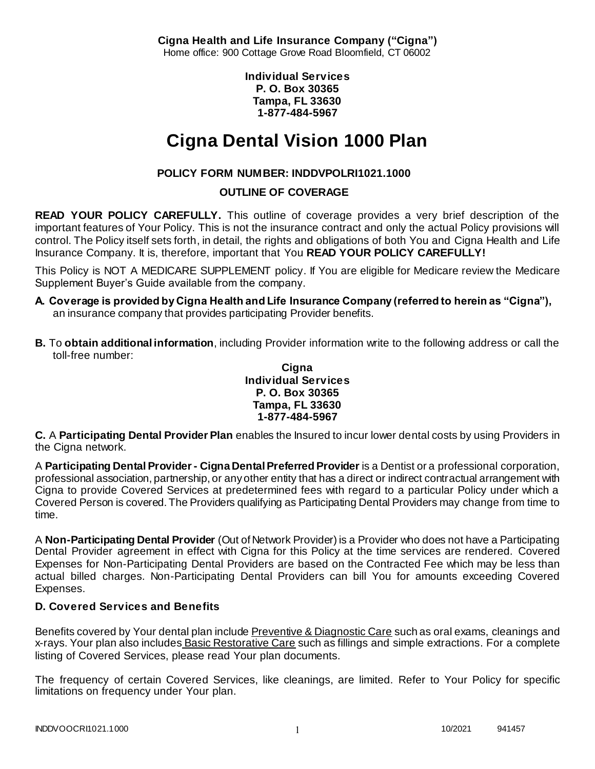**Cigna Health and Life Insurance Company ("Cigna")** Home office: 900 Cottage Grove Road Bloomfield, CT 06002

> **Individual Services P. O. Box 30365 Tampa, FL 33630 1-877-484-5967**

# **Cigna Dental Vision 1000 Plan**

# **POLICY FORM NUMBER: INDDVPOLRI1021.1000**

# **OUTLINE OF COVERAGE**

**READ YOUR POLICY CAREFULLY.** This outline of coverage provides a very brief description of the important features of Your Policy. This is not the insurance contract and only the actual Policy provisions will control. The Policy itself sets forth, in detail, the rights and obligations of both You and Cigna Health and Life Insurance Company. It is, therefore, important that You **READ YOUR POLICY CAREFULLY!** 

This Policy is NOT A MEDICARE SUPPLEMENT policy. If You are eligible for Medicare review the Medicare Supplement Buyer's Guide available from the company.

- **A. Coverage is provided by Cigna Health and Life Insurance Company (referred to herein as "Cigna"),**  an insurance company that provides participating Provider benefits.
- **B.** To **obtain additional information**, including Provider information write to the following address or call the toll-free number:

#### **Cigna Individual Services P. O. Box 30365 Tampa, FL 33630 1-877-484-5967**

**C.** A **Participating Dental Provider Plan** enables the Insured to incur lower dental costs by using Providers in the Cigna network.

A **Participating Dental Provider - Cigna Dental Preferred Provider** is a Dentist or a professional corporation, professional association, partnership, or any other entity that has a direct or indirect contractual arrangement with Cigna to provide Covered Services at predetermined fees with regard to a particular Policy under which a Covered Person is covered. The Providers qualifying as Participating Dental Providers may change from time to time.

A **Non-Participating Dental Provider** (Out of Network Provider) is a Provider who does not have a Participating Dental Provider agreement in effect with Cigna for this Policy at the time services are rendered. Covered Expenses for Non-Participating Dental Providers are based on the Contracted Fee which may be less than actual billed charges. Non-Participating Dental Providers can bill You for amounts exceeding Covered Expenses.

# **D. Covered Services and Benefits**

Benefits covered by Your dental plan include Preventive & Diagnostic Care such as oral exams, cleanings and x-rays. Your plan also includes Basic Restorative Care such as fillings and simple extractions. For a complete listing of Covered Services, please read Your plan documents.

The frequency of certain Covered Services, like cleanings, are limited. Refer to Your Policy for specific limitations on frequency under Your plan.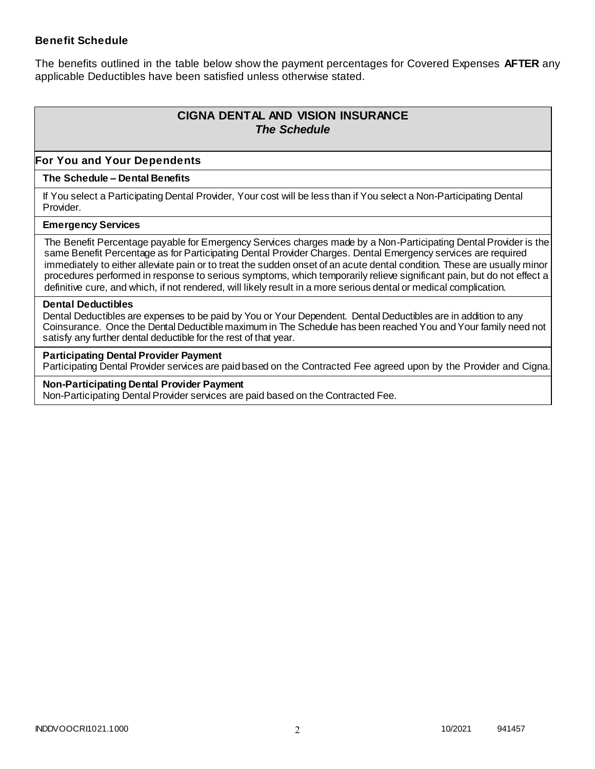### **Benefit Schedule**

The benefits outlined in the table below show the payment percentages for Covered Expenses **AFTER** any applicable Deductibles have been satisfied unless otherwise stated.

# **CIGNA DENTAL AND VISION INSURANCE** *The Schedule*

### **For You and Your Dependents**

#### **The Schedule – Dental Benefits**

If You select a Participating Dental Provider, Your cost will be less than if You select a Non-Participating Dental Provider.

#### **Emergency Services**

The Benefit Percentage payable for Emergency Services charges made by a Non-Participating Dental Provider is the same Benefit Percentage as for Participating Dental Provider Charges. Dental Emergency services are required immediately to either alleviate pain or to treat the sudden onset of an acute dental condition. These are usually minor procedures performed in response to serious symptoms, which temporarily relieve significant pain, but do not effect a definitive cure, and which, if not rendered, will likely result in a more serious dental or medical complication.

#### **Dental Deductibles**

Dental Deductibles are expenses to be paid by You or Your Dependent. Dental Deductibles are in addition to any Coinsurance. Once the Dental Deductible maximum in The Schedule has been reached You and Your family need not satisfy any further dental deductible for the rest of that year.

#### **Participating Dental Provider Payment**

Participating Dental Provider services are paid based on the Contracted Fee agreed upon by the Provider and Cigna.

**Non-Participating Dental Provider Payment** Non-Participating Dental Provider services are paid based on the Contracted Fee.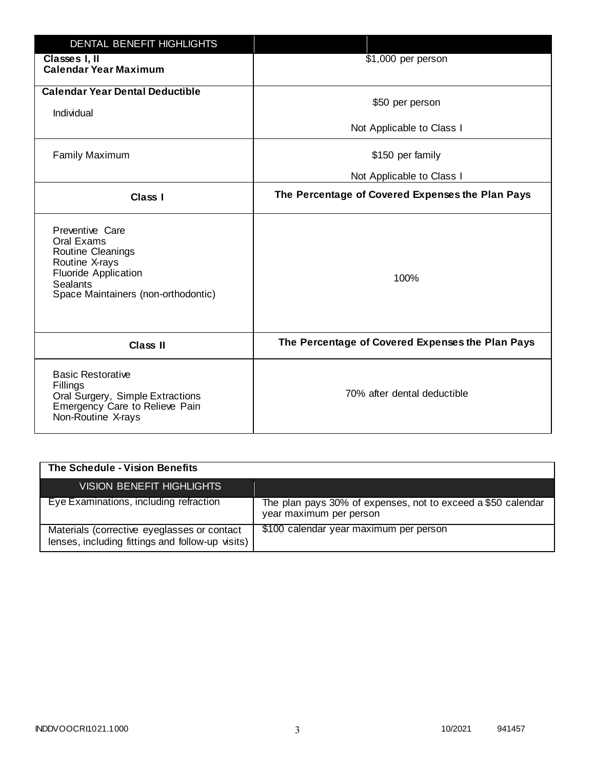| <b>DENTAL BENEFIT HIGHLIGHTS</b>                                                                                                                              |                                                  |
|---------------------------------------------------------------------------------------------------------------------------------------------------------------|--------------------------------------------------|
| Classes I, II<br><b>Calendar Year Maximum</b>                                                                                                                 | \$1,000 per person                               |
| <b>Calendar Year Dental Deductible</b><br>Individual                                                                                                          | \$50 per person                                  |
|                                                                                                                                                               | Not Applicable to Class I                        |
| <b>Family Maximum</b>                                                                                                                                         | \$150 per family                                 |
|                                                                                                                                                               | Not Applicable to Class I                        |
| <b>Class I</b>                                                                                                                                                | The Percentage of Covered Expenses the Plan Pays |
| Preventive Care<br>Oral Exams<br>Routine Cleanings<br>Routine X-rays<br><b>Fluoride Application</b><br><b>Sealants</b><br>Space Maintainers (non-orthodontic) | 100%                                             |
| <b>Class II</b>                                                                                                                                               | The Percentage of Covered Expenses the Plan Pays |
| <b>Basic Restorative</b><br>Fillings<br>Oral Surgery, Simple Extractions<br>Emergency Care to Relieve Pain<br>Non-Routine X-rays                              | 70% after dental deductible                      |

| The Schedule - Vision Benefits                                                                  |                                                                                         |
|-------------------------------------------------------------------------------------------------|-----------------------------------------------------------------------------------------|
| <b>VISION BENEFIT HIGHLIGHTS,</b>                                                               |                                                                                         |
| Eye Examinations, including refraction                                                          | The plan pays 30% of expenses, not to exceed a \$50 calendar<br>year maximum per person |
| Materials (corrective eyeglasses or contact<br>lenses, including fittings and follow-up visits) | \$100 calendar year maximum per person                                                  |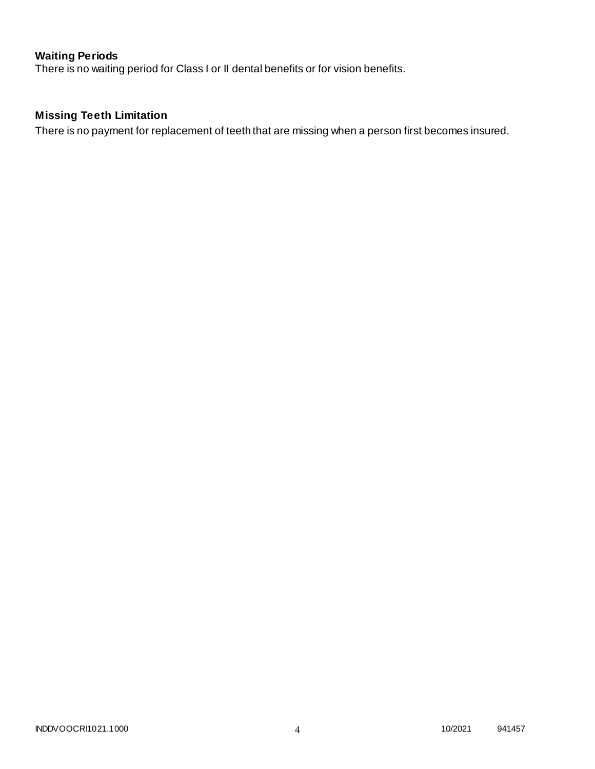# **Waiting Periods**

There is no waiting period for Class I or II dental benefits or for vision benefits.

# **Missing Teeth Limitation**

There is no payment for replacement of teeth that are missing when a person first becomes insured.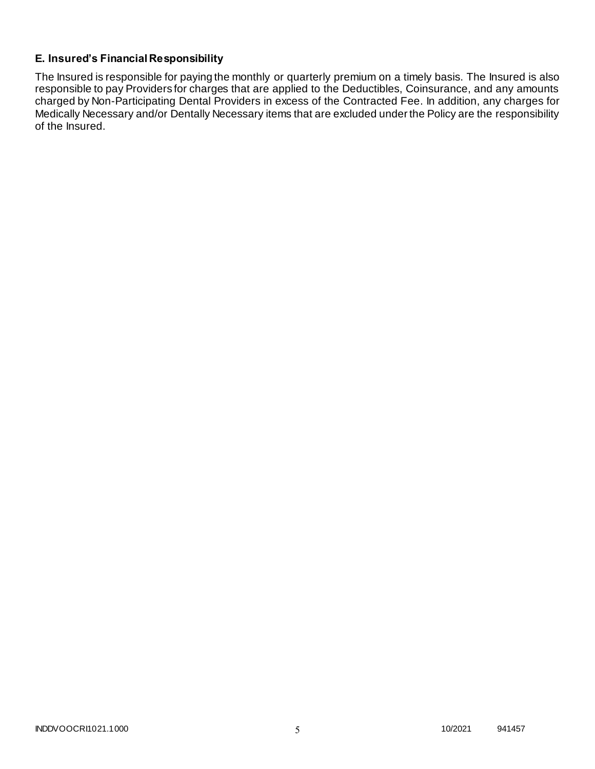# **E. Insured's Financial Responsibility**

The Insured is responsible for paying the monthly or quarterly premium on a timely basis. The Insured is also responsible to pay Providers for charges that are applied to the Deductibles, Coinsurance, and any amounts charged by Non-Participating Dental Providers in excess of the Contracted Fee. In addition, any charges for Medically Necessary and/or Dentally Necessary items that are excluded under the Policy are the responsibility of the Insured.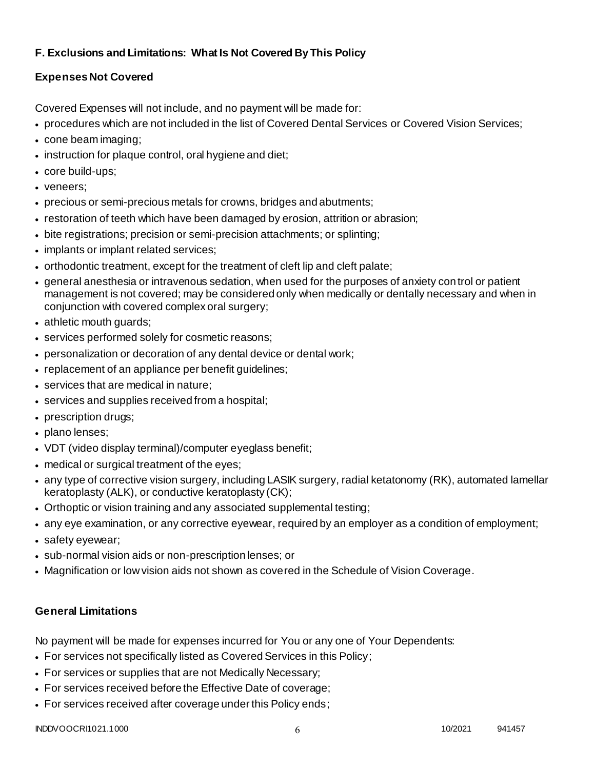# **F. Exclusions and Limitations: What Is Not Covered By This Policy**

# **Expenses Not Covered**

Covered Expenses will not include, and no payment will be made for:

- procedures which are not included in the list of Covered Dental Services or Covered Vision Services;
- cone beam imaging;
- instruction for plaque control, oral hygiene and diet;
- core build-ups;
- veneers;
- precious or semi-precious metals for crowns, bridges and abutments;
- restoration of teeth which have been damaged by erosion, attrition or abrasion;
- bite registrations; precision or semi-precision attachments; or splinting;
- implants or implant related services;
- orthodontic treatment, except for the treatment of cleft lip and cleft palate;
- general anesthesia or intravenous sedation, when used for the purposes of anxiety control or patient management is not covered; may be considered only when medically or dentally necessary and when in conjunction with covered complex oral surgery;
- athletic mouth guards;
- services performed solely for cosmetic reasons;
- personalization or decoration of any dental device or dental work;
- replacement of an appliance per benefit quidelines;
- services that are medical in nature;
- services and supplies received from a hospital;
- prescription drugs;
- plano lenses;
- VDT (video display terminal)/computer eyeglass benefit;
- medical or surgical treatment of the eyes;
- any type of corrective vision surgery, including LASIK surgery, radial ketatonomy (RK), automated lamellar keratoplasty (ALK), or conductive keratoplasty (CK);
- Orthoptic or vision training and any associated supplemental testing;
- any eye examination, or any corrective eyewear, required by an employer as a condition of employment;
- safety eyewear;
- sub-normal vision aids or non-prescription lenses; or
- Magnification or low vision aids not shown as covered in the Schedule of Vision Coverage.

# **General Limitations**

No payment will be made for expenses incurred for You or any one of Your Dependents:

- For services not specifically listed as Covered Services in this Policy;
- For services or supplies that are not Medically Necessary;
- For services received before the Effective Date of coverage;
- For services received after coverage under this Policy ends;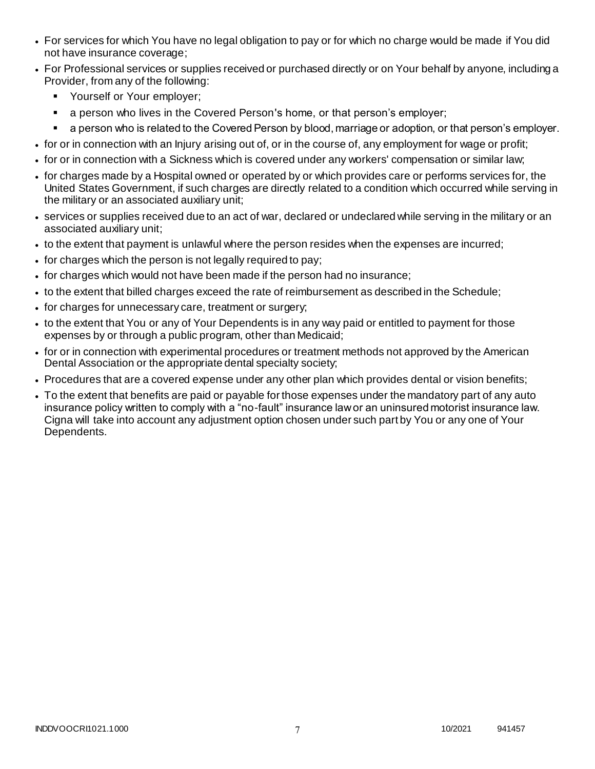- For services for which You have no legal obligation to pay or for which no charge would be made if You did not have insurance coverage;
- For Professional services or supplies received or purchased directly or on Your behalf by anyone, including a Provider, from any of the following:
	- **Yourself or Your employer;**
	- a person who lives in the Covered Person's home, or that person's employer;
	- a person who is related to the Covered Person by blood, marriage or adoption, or that person's employer.
- for or in connection with an Injury arising out of, or in the course of, any employment for wage or profit;
- for or in connection with a Sickness which is covered under any workers' compensation or similar law;
- for charges made by a Hospital owned or operated by or which provides care or performs services for, the United States Government, if such charges are directly related to a condition which occurred while serving in the military or an associated auxiliary unit;
- services or supplies received due to an act of war, declared or undeclared while serving in the military or an associated auxiliary unit;
- to the extent that payment is unlawful where the person resides when the expenses are incurred;
- for charges which the person is not legally required to pay;
- for charges which would not have been made if the person had no insurance;
- to the extent that billed charges exceed the rate of reimbursement as described in the Schedule;
- for charges for unnecessary care, treatment or surgery;
- to the extent that You or any of Your Dependents is in any way paid or entitled to payment for those expenses by or through a public program, other than Medicaid;
- for or in connection with experimental procedures or treatment methods not approved by the American Dental Association or the appropriate dental specialty society;
- Procedures that are a covered expense under any other plan which provides dental or vision benefits;
- To the extent that benefits are paid or payable for those expenses under the mandatory part of any auto insurance policy written to comply with a "no-fault" insurance law or an uninsured motorist insurance law. Cigna will take into account any adjustment option chosen under such part by You or any one of Your Dependents.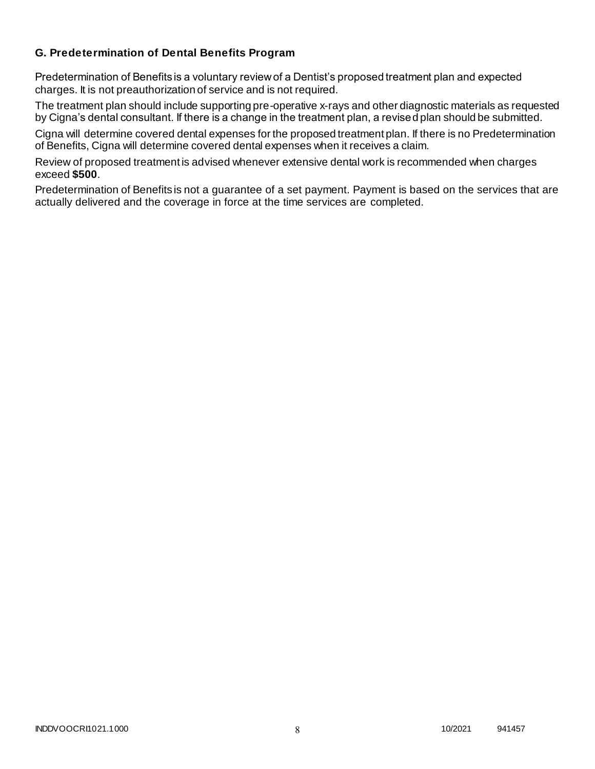### **G. Predetermination of Dental Benefits Program**

Predetermination of Benefits is a voluntary review of a Dentist's proposed treatment plan and expected charges. It is not preauthorization of service and is not required.

The treatment plan should include supporting pre-operative x-rays and other diagnostic materials as requested by Cigna's dental consultant. If there is a change in the treatment plan, a revised plan should be submitted.

Cigna will determine covered dental expenses for the proposed treatment plan. If there is no Predetermination of Benefits, Cigna will determine covered dental expenses when it receives a claim.

Review of proposed treatment is advised whenever extensive dental work is recommended when charges exceed **\$500**.

Predetermination of Benefits is not a guarantee of a set payment. Payment is based on the services that are actually delivered and the coverage in force at the time services are completed.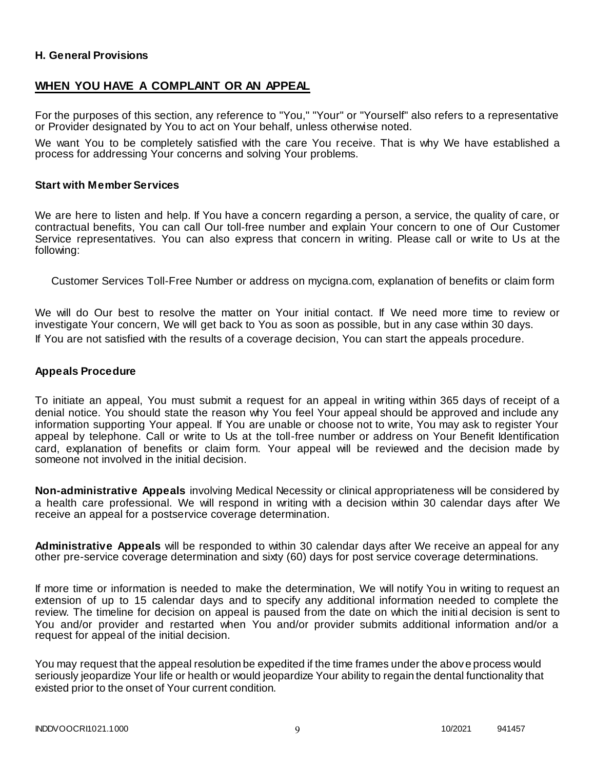#### **H. General Provisions**

### **WHEN YOU HAVE A COMPLAINT OR AN APPEAL**

For the purposes of this section, any reference to "You," "Your" or "Yourself" also refers to a representative or Provider designated by You to act on Your behalf, unless otherwise noted.

We want You to be completely satisfied with the care You receive. That is why We have established a process for addressing Your concerns and solving Your problems.

#### **Start with Member Services**

We are here to listen and help. If You have a concern regarding a person, a service, the quality of care, or contractual benefits, You can call Our toll-free number and explain Your concern to one of Our Customer Service representatives. You can also express that concern in writing. Please call or write to Us at the following:

Customer Services Toll-Free Number or address on mycigna.com, explanation of benefits or claim form

We will do Our best to resolve the matter on Your initial contact. If We need more time to review or investigate Your concern, We will get back to You as soon as possible, but in any case within 30 days. If You are not satisfied with the results of a coverage decision, You can start the appeals procedure.

#### **Appeals Procedure**

To initiate an appeal, You must submit a request for an appeal in writing within 365 days of receipt of a denial notice. You should state the reason why You feel Your appeal should be approved and include any information supporting Your appeal. If You are unable or choose not to write, You may ask to register Your appeal by telephone. Call or write to Us at the toll-free number or address on Your Benefit Identification card, explanation of benefits or claim form. Your appeal will be reviewed and the decision made by someone not involved in the initial decision.

**Non-administrative Appeals** involving Medical Necessity or clinical appropriateness will be considered by a health care professional. We will respond in writing with a decision within 30 calendar days after We receive an appeal for a postservice coverage determination.

**Administrative Appeals** will be responded to within 30 calendar days after We receive an appeal for any other pre-service coverage determination and sixty (60) days for post service coverage determinations.

If more time or information is needed to make the determination, We will notify You in writing to request an extension of up to 15 calendar days and to specify any additional information needed to complete the review. The timeline for decision on appeal is paused from the date on which the initial decision is sent to You and/or provider and restarted when You and/or provider submits additional information and/or a request for appeal of the initial decision.

You may request that the appeal resolution be expedited if the time frames under the above process would seriously jeopardize Your life or health or would jeopardize Your ability to regain the dental functionality that existed prior to the onset of Your current condition.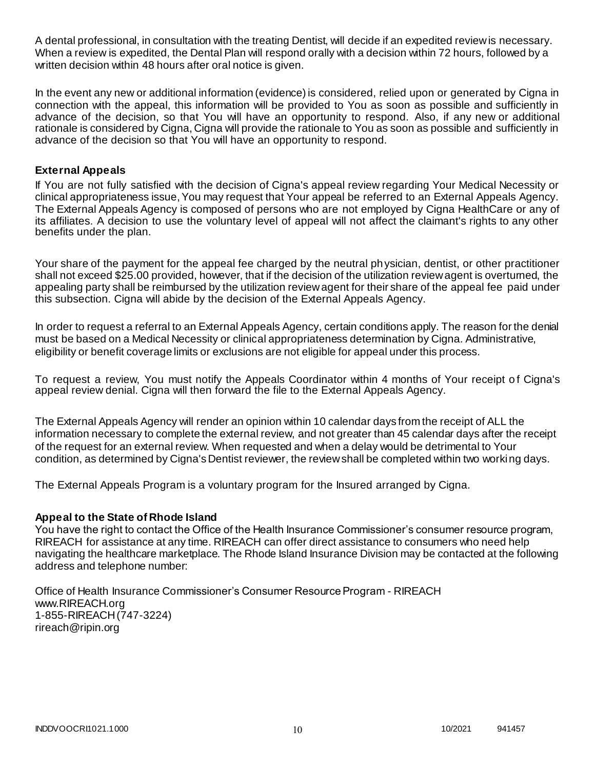A dental professional, in consultation with the treating Dentist, will decide if an expedited review is necessary. When a review is expedited, the Dental Plan will respond orally with a decision within 72 hours, followed by a written decision within 48 hours after oral notice is given.

In the event any new or additional information (evidence) is considered, relied upon or generated by Cigna in connection with the appeal, this information will be provided to You as soon as possible and sufficiently in advance of the decision, so that You will have an opportunity to respond. Also, if any new or additional rationale is considered by Cigna, Cigna will provide the rationale to You as soon as possible and sufficiently in advance of the decision so that You will have an opportunity to respond.

### **External Appeals**

If You are not fully satisfied with the decision of Cigna's appeal review regarding Your Medical Necessity or clinical appropriateness issue, You may request that Your appeal be referred to an External Appeals Agency. The External Appeals Agency is composed of persons who are not employed by Cigna HealthCare or any of its affiliates. A decision to use the voluntary level of appeal will not affect the claimant's rights to any other benefits under the plan.

Your share of the payment for the appeal fee charged by the neutral physician, dentist, or other practitioner shall not exceed \$25.00 provided, however, that if the decision of the utilization review agent is overturned, the appealing party shall be reimbursed by the utilization review agent for their share of the appeal fee paid under this subsection. Cigna will abide by the decision of the External Appeals Agency.

In order to request a referral to an External Appeals Agency, certain conditions apply. The reason for the denial must be based on a Medical Necessity or clinical appropriateness determination by Cigna. Administrative, eligibility or benefit coverage limits or exclusions are not eligible for appeal under this process.

To request a review, You must notify the Appeals Coordinator within 4 months of Your receipt of Cigna's appeal review denial. Cigna will then forward the file to the External Appeals Agency.

The External Appeals Agency will render an opinion within 10 calendar days from the receipt of ALL the information necessary to complete the external review, and not greater than 45 calendar days after the receipt of the request for an external review. When requested and when a delay would be detrimental to Your condition, as determined by Cigna's Dentist reviewer, the review shall be completed within two working days.

The External Appeals Program is a voluntary program for the Insured arranged by Cigna.

#### **Appeal to the State of Rhode Island**

You have the right to contact the Office of the Health Insurance Commissioner's consumer resource program, RIREACH for assistance at any time. RIREACH can offer direct assistance to consumers who need help navigating the healthcare marketplace. The Rhode Island Insurance Division may be contacted at the following address and telephone number:

Office of Health Insurance Commissioner's Consumer Resource Program - RIREACH www.RIREACH.org 1-855-RIREACH (747-3224) [rireach@ripin.org](mailto:rireach@ripin.org)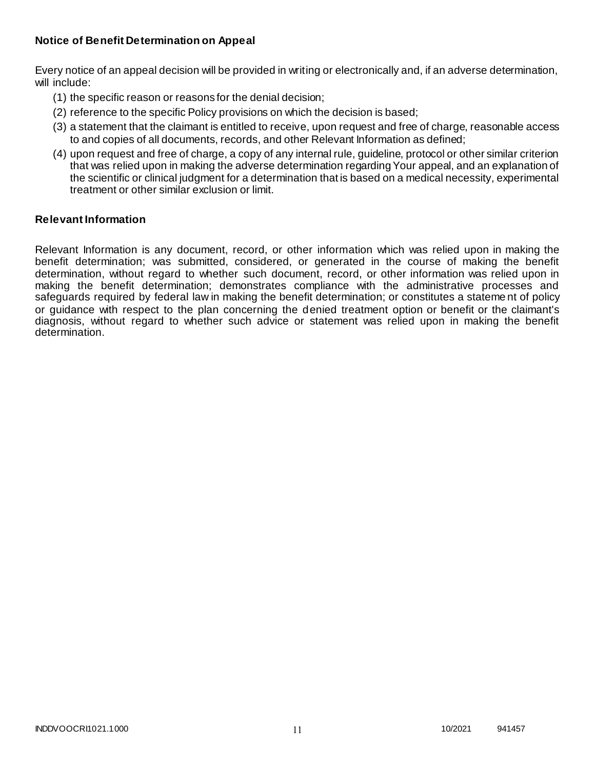### **Notice of Benefit Determination on Appeal**

Every notice of an appeal decision will be provided in writing or electronically and, if an adverse determination, will include:

- (1) the specific reason or reasons for the denial decision;
- (2) reference to the specific Policy provisions on which the decision is based;
- (3) a statement that the claimant is entitled to receive, upon request and free of charge, reasonable access to and copies of all documents, records, and other Relevant Information as defined;
- (4) upon request and free of charge, a copy of any internal rule, guideline, protocol or other similar criterion that was relied upon in making the adverse determination regarding Your appeal, and an explanation of the scientific or clinical judgment for a determination that is based on a medical necessity, experimental treatment or other similar exclusion or limit.

#### **Relevant Information**

Relevant Information is any document, record, or other information which was relied upon in making the benefit determination; was submitted, considered, or generated in the course of making the benefit determination, without regard to whether such document, record, or other information was relied upon in making the benefit determination; demonstrates compliance with the administrative processes and safeguards required by federal law in making the benefit determination; or constitutes a stateme nt of policy or guidance with respect to the plan concerning the denied treatment option or benefit or the claimant's diagnosis, without regard to whether such advice or statement was relied upon in making the benefit determination.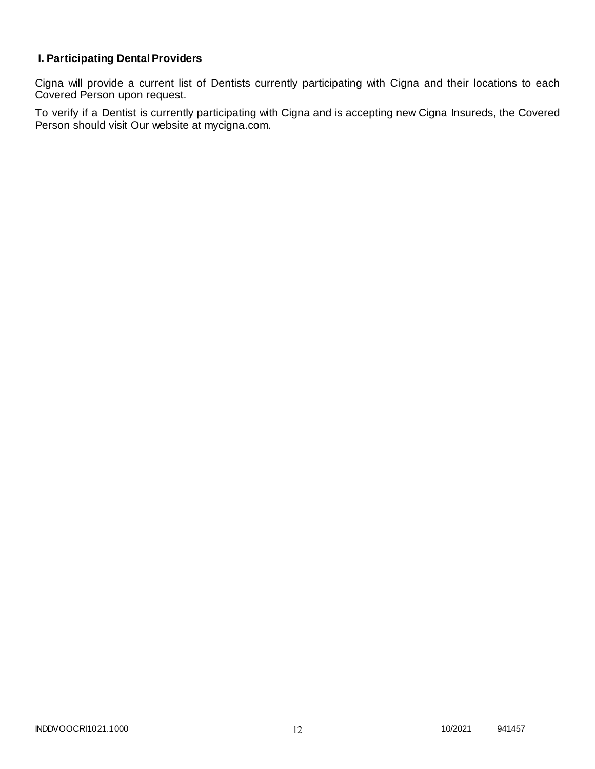# **I. Participating Dental Providers**

Cigna will provide a current list of Dentists currently participating with Cigna and their locations to each Covered Person upon request.

To verify if a Dentist is currently participating with Cigna and is accepting new Cigna Insureds, the Covered Person should visit Our website at mycigna.com.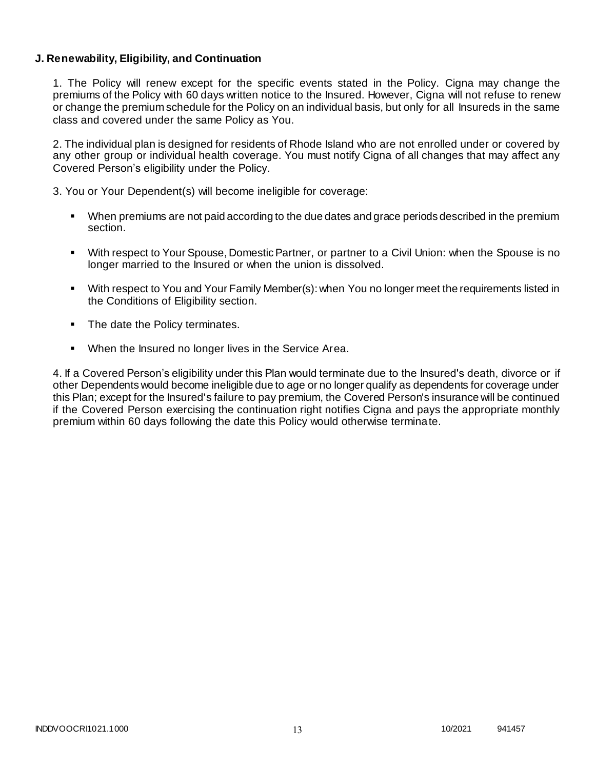### **J. Renewability, Eligibility, and Continuation**

1. The Policy will renew except for the specific events stated in the Policy. Cigna may change the premiums of the Policy with 60 days written notice to the Insured. However, Cigna will not refuse to renew or change the premium schedule for the Policy on an individual basis, but only for all Insureds in the same class and covered under the same Policy as You.

2. The individual plan is designed for residents of Rhode Island who are not enrolled under or covered by any other group or individual health coverage. You must notify Cigna of all changes that may affect any Covered Person's eligibility under the Policy.

3. You or Your Dependent(s) will become ineligible for coverage:

- When premiums are not paid according to the due dates and grace periods described in the premium section.
- With respect to Your Spouse, Domestic Partner, or partner to a Civil Union: when the Spouse is no longer married to the Insured or when the union is dissolved.
- With respect to You and Your Family Member(s): when You no longer meet the requirements listed in the Conditions of Eligibility section.
- The date the Policy terminates.
- When the Insured no longer lives in the Service Area.

4. If a Covered Person's eligibility under this Plan would terminate due to the Insured's death, divorce or if other Dependents would become ineligible due to age or no longer qualify as dependents for coverage under this Plan; except for the Insured's failure to pay premium, the Covered Person's insurance will be continued if the Covered Person exercising the continuation right notifies Cigna and pays the appropriate monthly premium within 60 days following the date this Policy would otherwise terminate.